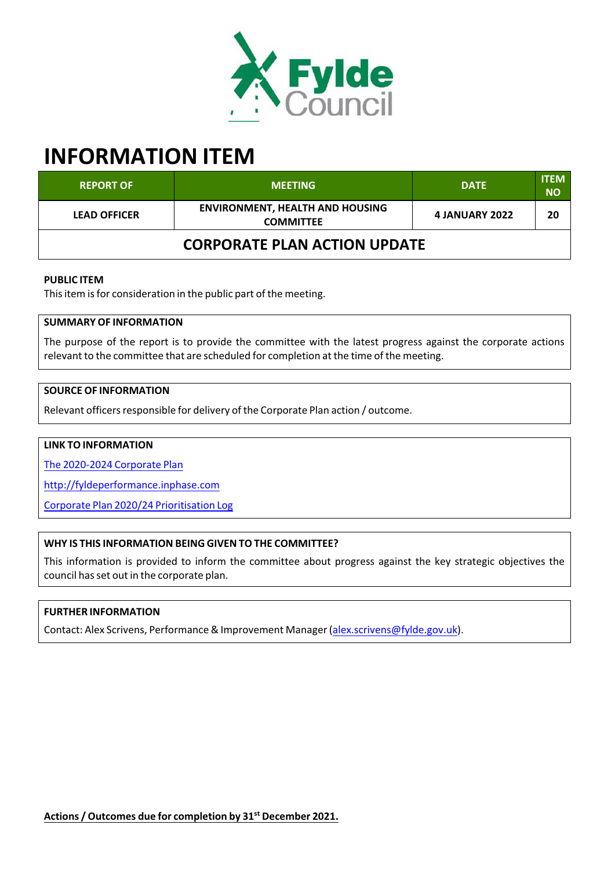

# **INFORMATION ITEM**

| <b>REPORT OF</b>                    | <b>MEETING</b>                                             | <b>DATE</b>           | <b>ITEM</b><br><b>NO</b> |  |  |
|-------------------------------------|------------------------------------------------------------|-----------------------|--------------------------|--|--|
| <b>LEAD OFFICER</b>                 | <b>ENVIRONMENT, HEALTH AND HOUSING</b><br><b>COMMITTEE</b> | <b>4 JANUARY 2022</b> | 20                       |  |  |
| <b>CORPORATE PLAN ACTION UPDATE</b> |                                                            |                       |                          |  |  |

### **PUBLIC ITEM**

This item is for consideration in the public part of the meeting.

## **SUMMARY OF INFORMATION**

The purpose of the report is to provide the committee with the latest progress against the corporate actions relevant to the committee that are scheduled for completion at the time of the meeting.

## **SOURCE OF INFORMATION**

Relevant officers responsible for delivery of the Corporate Plan action / outcome.

# **LINK TO INFORMATION**

The 2020‐2024 Corporate Plan

http://fyldeperformance.inphase.com

Corporate Plan 2020/24 Prioritisation Log

## **WHY IS THIS INFORMATION BEING GIVEN TO THE COMMITTEE?**

This information is provided to inform the committee about progress against the key strategic objectives the council has set out in the corporate plan.

## **FURTHER INFORMATION**

Contact: Alex Scrivens, Performance& Improvement Manager(alex.scrivens@fylde.gov.uk).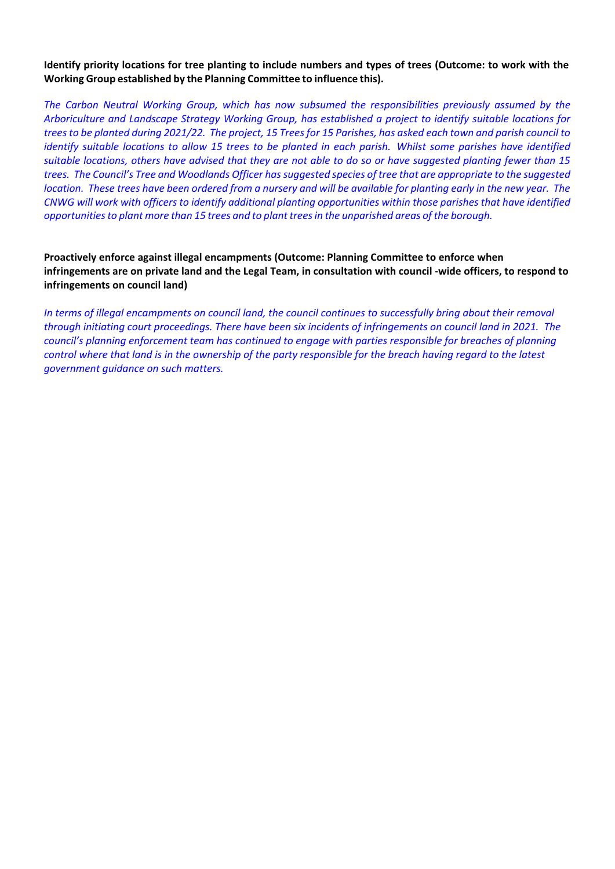#### Identify priority locations for tree planting to include numbers and types of trees (Outcome: to work with the **Working Group established by the Planning Committee to influence this).**

*The Carbon Neutral Working Group, which has now subsumed the responsibilities previously assumed by the Arboriculture and Landscape Strategy Working Group, has established a project to identify suitable locations for* trees to be planted during 2021/22. The project, 15 Trees for 15 Parishes, has asked each town and parish council to identify suitable locations to allow 15 trees to be planted in each parish. Whilst some parishes have identified suitable locations, others have advised that they are not able to do so or have suggested planting fewer than 15 trees. The Council's Tree and Woodlands Officer has suggested species of tree that are appropriate to the suggested location. These trees have been ordered from a nursery and will be available for planting early in the new year. The CNWG will work with officers to identify additional planting opportunities within those parishes that have identified *opportunitiesto plant more than 15 trees and to plant treesin the unparished areas of the borough.*

## **Proactively enforce against illegal encampments (Outcome: Planning Committee to enforce when** infringements are on private land and the Legal Team, in consultation with council -wide officers, to respond to **infringements on council land)**

In terms of illegal encampments on council land, the council continues to successfully bring about their removal through initiating court proceedings. There have been six incidents of infringements on council land in 2021. The *council's planning enforcement team has continued to engage with parties responsible for breaches of planning* control where that land is in the ownership of the party responsible for the breach having regard to the latest *government guidance on such matters.*